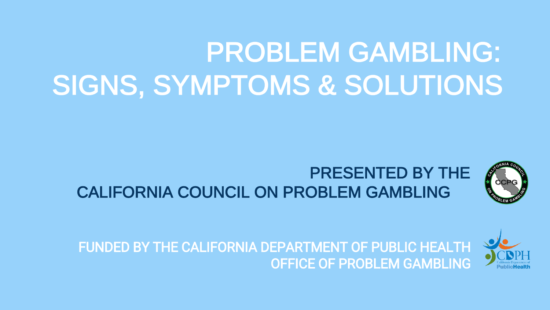# PROBLEM GAMBLING: SIGNS, SYMPTOMS & SOLUTIONS



## PRESENTED BY THE CALIFORNIA COUNCIL ON PROBLEM GAMBLING



FUNDED BY THE CALIFORNIA DEPARTMENT OF PUBLIC HEALTH OFFICE OF PROBLEM GAMBLING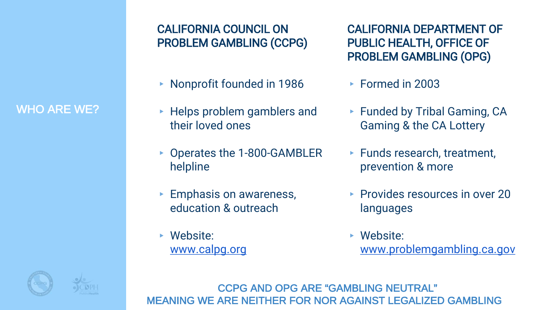#### CALIFORNIA COUNCIL ON PROBLEM GAMBLING (CCPG)

- ▸ Nonprofit founded in 1986
- ▸ Helps problem gamblers and their loved ones
- ▸ Operates the 1-800-GAMBLER helpline
- ▸ Emphasis on awareness, education & outreach
- ▸ Website: [www.calpg.org](http://www.calpg.org/)

CALIFORNIA DEPARTMENT OF PUBLIC HEALTH, OFFICE OF PROBLEM GAMBLING (OPG)

- ▸ Formed in 2003
- ▸ Funded by Tribal Gaming, CA Gaming & the CA Lottery
- ▸ Funds research, treatment, prevention & more
- ▶ Provides resources in over 20 languages
- ▸ Website: [www.problemgambling.ca.gov](http://www.problemgambling..ca.gov/)

CCPG AND OPG ARE "GAMBLING NEUTRAL" MEANING WE ARE NEITHER FOR NOR AGAINST LEGALIZED GAMBLING

### WHO ARE WE?

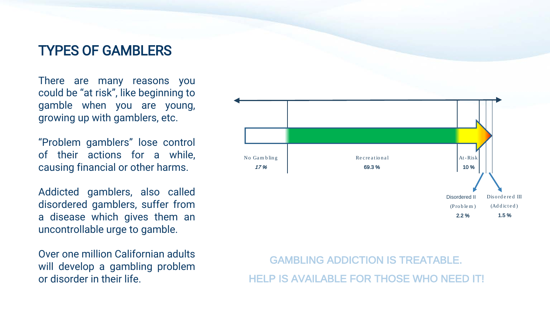#### TYPES OF GAMBLERS

There are many reasons you could be "at risk", like beginning to gamble when you are young, growing up with gamblers, etc.

"Problem gamblers" lose control of their actions for a while, causing financial or other harms.

Addicted gamblers, also called disordered gamblers, suffer from a disease which gives them an uncontrollable urge to gamble.

Over one million Californian adults will develop a gambling problem or disorder in their life.



GAMBLING ADDICTION IS TREATABLE. HELP IS AVAILABLE FOR THOSE WHO NEED IT!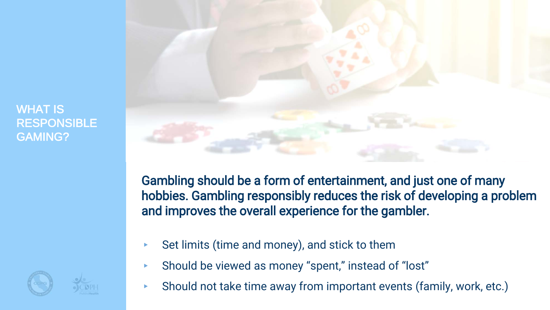WHAT IS **RESPONSIBLE** GAMING?



Gambling should be a form of entertainment, and just one of many hobbies. Gambling responsibly reduces the risk of developing a problem and improves the overall experience for the gambler.

- Set limits (time and money), and stick to them
- ▸ Should be viewed as money "spent," instead of "lost"
- ▸ Should not take time away from important events (family, work, etc.)

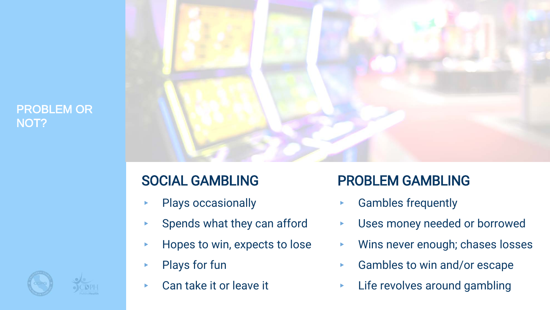#### PROBLEM OR NOT?



## SOCIAL GAMBLING

- Plays occasionally
- Spends what they can afford
- ▸ Hopes to win, expects to lose
- Plays for fun
- Can take it or leave it

## PROBLEM GAMBLING

- ▸ Gambles frequently
- Uses money needed or borrowed
- ▸ Wins never enough; chases losses
- Gambles to win and/or escape
- Life revolves around gambling

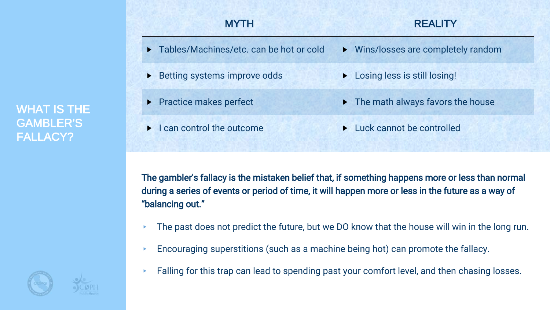WHAT IS THE GAMBLER'S FALLACY?

| <b>MYTH</b>                                        | <b>REALITY</b>                                    |
|----------------------------------------------------|---------------------------------------------------|
| Tables/Machines/etc. can be hot or cold<br>▶       | ▶ Wins/losses are completely random               |
| Betting systems improve odds<br>▶                  | Losing less is still losing!                      |
| ▶ Practice makes perfect                           | $\triangleright$ The math always favors the house |
| I can control the outcome<br>$\blacktriangleright$ | Luck cannot be controlled                         |

The gambler's fallacy is the mistaken belief that, if something happens more or less than normal during a series of events or period of time, it will happen more or less in the future as a way of "balancing out."

- $\triangleright$  The past does not predict the future, but we DO know that the house will win in the long run.
- ▸ Encouraging superstitions (such as a machine being hot) can promote the fallacy.
- ▸ Falling for this trap can lead to spending past your comfort level, and then chasing losses.

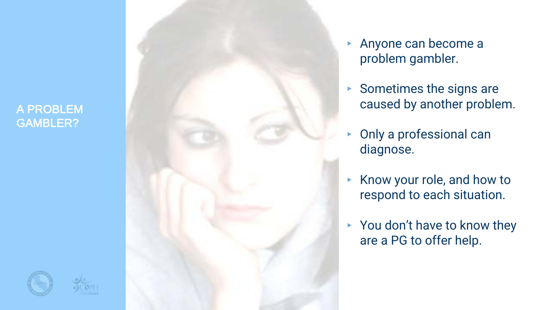#### A PROBLEM GAMBLER?

- ▸ Anyone can become a problem gambler.
- ▸ Sometimes the signs are caused by another problem.
- ▸ Only a professional can diagnose.
- ▸ Know your role, and how to respond to each situation.
- ▸ You don't have to know they are a PG to offer help.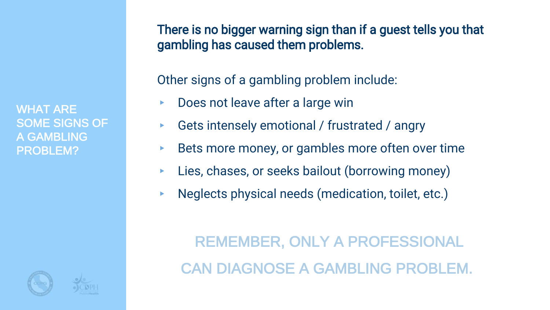WHAT ARE SOME SIGNS OF A GAMBLING PROBLEM?

There is no bigger warning sign than if a guest tells you that gambling has caused them problems.

Other signs of a gambling problem include:

- Does not leave after a large win
- Gets intensely emotional / frustrated / angry
- Bets more money, or gambles more often over time
- Lies, chases, or seeks bailout (borrowing money)
- ▸ Neglects physical needs (medication, toilet, etc.)

REMEMBER, ONLY A PROFESSIONAL CAN DIAGNOSE A GAMBLING PROBLEM.

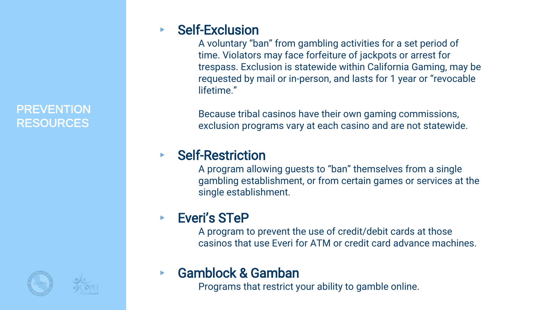#### **PREVENTION** RESOURCES

#### **Self-Exclusion**

A voluntary "ban" from gambling activities for a set period of time. Violators may face forfeiture of jackpots or arrest for trespass. Exclusion is statewide within California Gaming, may be requested by mail or in-person, and lasts for 1 year or "revocable lifetime."

Because tribal casinos have their own gaming commissions, exclusion programs vary at each casino and are not statewide.

#### **Self-Restriction**

A program allowing guests to "ban" themselves from a single gambling establishment, or from certain games or services at the single establishment.

### **Everi's STeP**

A program to prevent the use of credit/debit cards at those casinos that use Everi for ATM or credit card advance machines.

### Gamblock & Gamban

Programs that restrict your ability to gamble online.



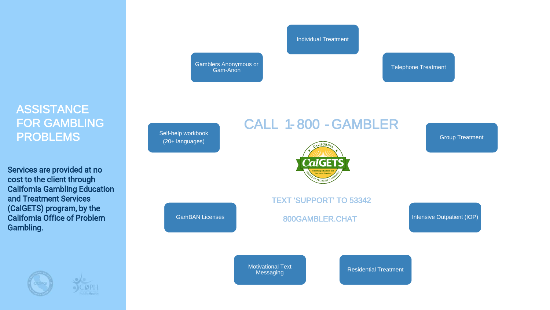#### **ASSISTANCE** FOR GAMBLING PROBLEMS

Services are provided at no cost to the client through California Gambling Education and Treatment Services (CalGETS) program, by the California Office of Problem Gambling.



Individual Treatment